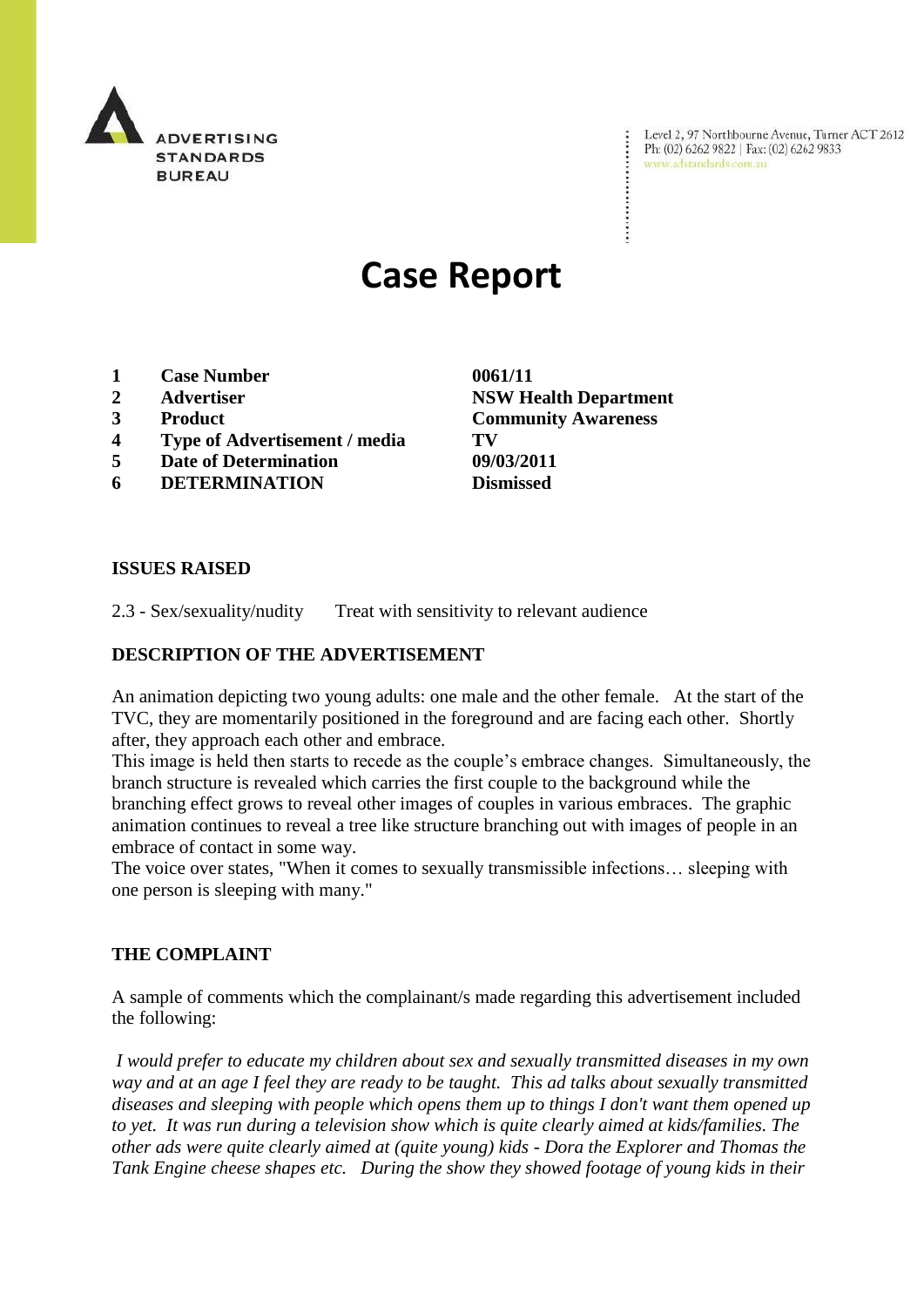

Level 2, 97 Northbourne Avenue, Turner ACT 2612 Ph: (02) 6262 9822 | Fax: (02) 6262 9833 www.adstandards.com.au

# **Case Report**

- **1 Case Number 0061/11**
- 
- 
- **4 Type of Advertisement / media TV**
- **5 Date of Determination 09/03/2011**
- **6 DETERMINATION Dismissed**

**ISSUES RAISED**

2.3 - Sex/sexuality/nudity Treat with sensitivity to relevant audience

### **DESCRIPTION OF THE ADVERTISEMENT**

An animation depicting two young adults: one male and the other female. At the start of the TVC, they are momentarily positioned in the foreground and are facing each other. Shortly after, they approach each other and embrace.

This image is held then starts to recede as the couple's embrace changes. Simultaneously, the branch structure is revealed which carries the first couple to the background while the branching effect grows to reveal other images of couples in various embraces. The graphic animation continues to reveal a tree like structure branching out with images of people in an embrace of contact in some way.

The voice over states, "When it comes to sexually transmissible infections… sleeping with one person is sleeping with many."

#### **THE COMPLAINT**

A sample of comments which the complainant/s made regarding this advertisement included the following:

*I would prefer to educate my children about sex and sexually transmitted diseases in my own way and at an age I feel they are ready to be taught. This ad talks about sexually transmitted diseases and sleeping with people which opens them up to things I don't want them opened up to yet. It was run during a television show which is quite clearly aimed at kids/families. The other ads were quite clearly aimed at (quite young) kids - Dora the Explorer and Thomas the Tank Engine cheese shapes etc. During the show they showed footage of young kids in their* 

**2 Advertiser NSW Health Department 3 Product Community Awareness**

 $\ddot{\cdot}$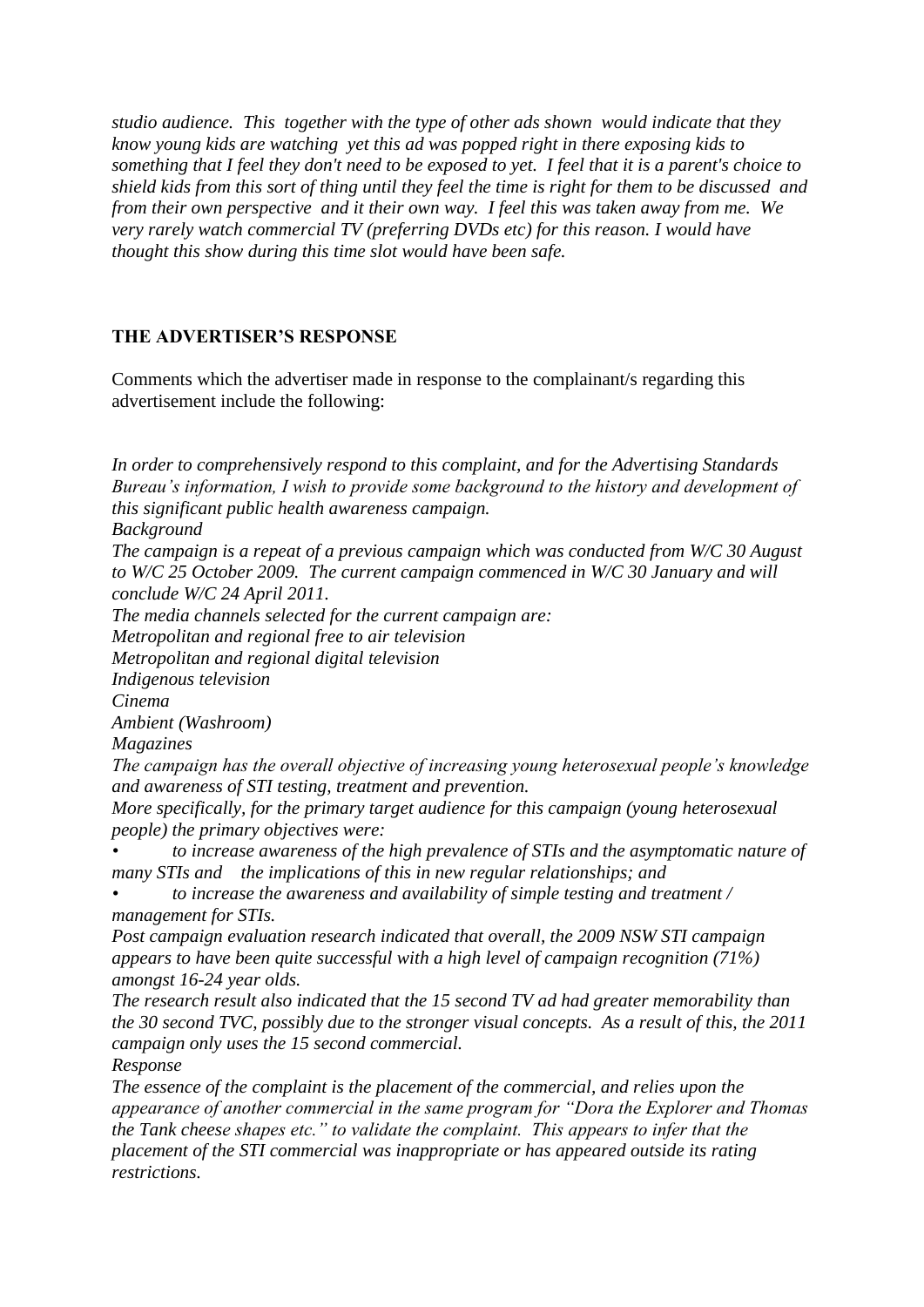*studio audience. This together with the type of other ads shown would indicate that they know young kids are watching yet this ad was popped right in there exposing kids to something that I feel they don't need to be exposed to yet. I feel that it is a parent's choice to shield kids from this sort of thing until they feel the time is right for them to be discussed and from their own perspective and it their own way. I feel this was taken away from me. We very rarely watch commercial TV (preferring DVDs etc) for this reason. I would have thought this show during this time slot would have been safe.*

## **THE ADVERTISER'S RESPONSE**

Comments which the advertiser made in response to the complainant/s regarding this advertisement include the following:

*In order to comprehensively respond to this complaint, and for the Advertising Standards Bureau"s information, I wish to provide some background to the history and development of this significant public health awareness campaign.*

*Background*

*The campaign is a repeat of a previous campaign which was conducted from W/C 30 August to W/C 25 October 2009. The current campaign commenced in W/C 30 January and will conclude W/C 24 April 2011.*

*The media channels selected for the current campaign are:*

*Metropolitan and regional free to air television*

*Metropolitan and regional digital television*

*Indigenous television*

*Cinema*

*Ambient (Washroom)*

*Magazines*

*The campaign has the overall objective of increasing young heterosexual people"s knowledge and awareness of STI testing, treatment and prevention.*

*More specifically, for the primary target audience for this campaign (young heterosexual people) the primary objectives were:*

*• to increase awareness of the high prevalence of STIs and the asymptomatic nature of many STIs and the implications of this in new regular relationships; and* 

*• to increase the awareness and availability of simple testing and treatment / management for STIs.*

*Post campaign evaluation research indicated that overall, the 2009 NSW STI campaign appears to have been quite successful with a high level of campaign recognition (71%) amongst 16-24 year olds.* 

*The research result also indicated that the 15 second TV ad had greater memorability than the 30 second TVC, possibly due to the stronger visual concepts. As a result of this, the 2011 campaign only uses the 15 second commercial.*

*Response*

*The essence of the complaint is the placement of the commercial, and relies upon the appearance of another commercial in the same program for "Dora the Explorer and Thomas the Tank cheese shapes etc." to validate the complaint. This appears to infer that the placement of the STI commercial was inappropriate or has appeared outside its rating restrictions.*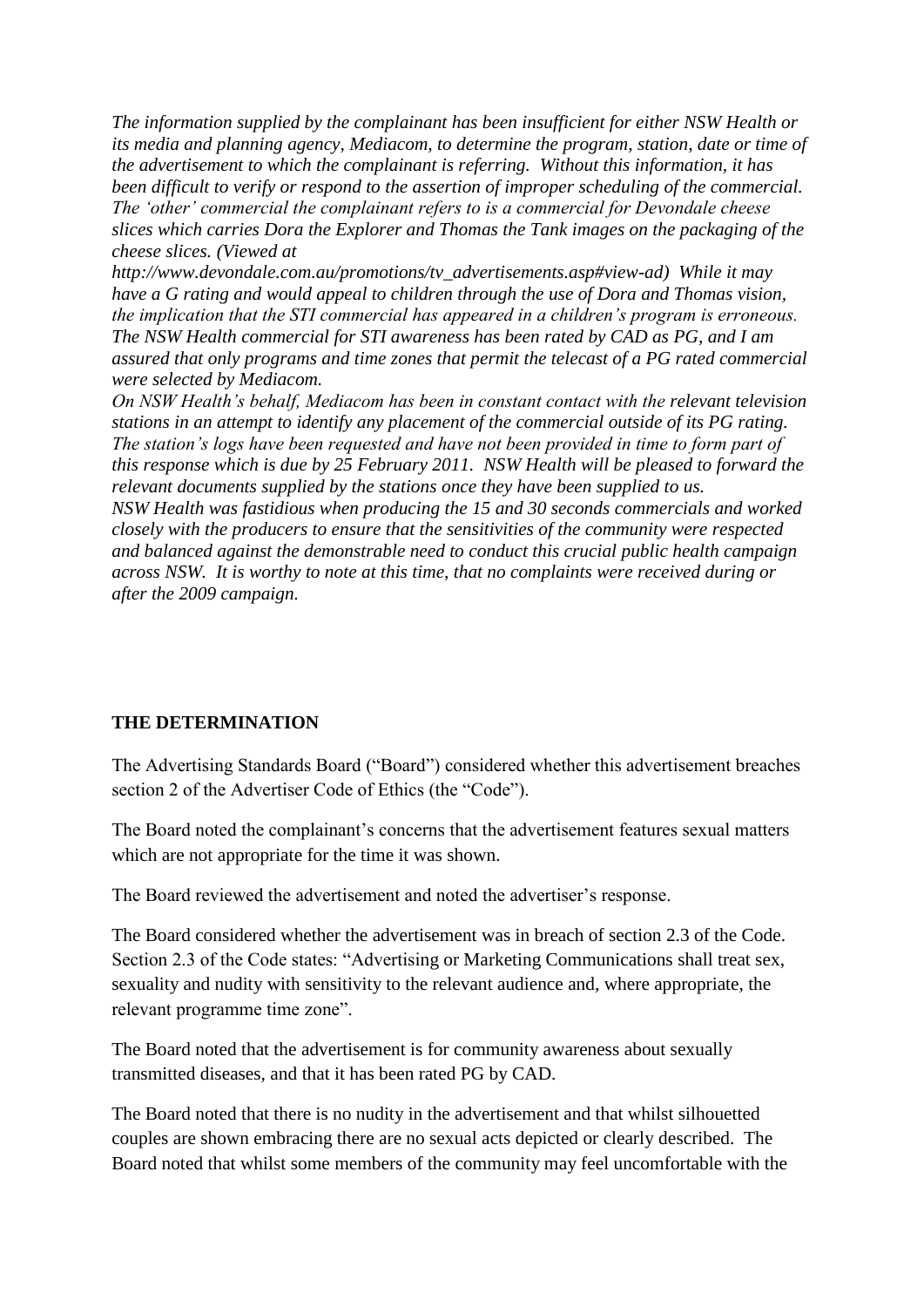*The information supplied by the complainant has been insufficient for either NSW Health or its media and planning agency, Mediacom, to determine the program, station, date or time of the advertisement to which the complainant is referring. Without this information, it has been difficult to verify or respond to the assertion of improper scheduling of the commercial. The "other" commercial the complainant refers to is a commercial for Devondale cheese slices which carries Dora the Explorer and Thomas the Tank images on the packaging of the cheese slices. (Viewed at* 

*http://www.devondale.com.au/promotions/tv\_advertisements.asp#view-ad) While it may have a G rating and would appeal to children through the use of Dora and Thomas vision, the implication that the STI commercial has appeared in a children"s program is erroneous. The NSW Health commercial for STI awareness has been rated by CAD as PG, and I am assured that only programs and time zones that permit the telecast of a PG rated commercial were selected by Mediacom.*

*On NSW Health"s behalf, Mediacom has been in constant contact with the relevant television stations in an attempt to identify any placement of the commercial outside of its PG rating. The station"s logs have been requested and have not been provided in time to form part of this response which is due by 25 February 2011. NSW Health will be pleased to forward the relevant documents supplied by the stations once they have been supplied to us. NSW Health was fastidious when producing the 15 and 30 seconds commercials and worked closely with the producers to ensure that the sensitivities of the community were respected and balanced against the demonstrable need to conduct this crucial public health campaign across NSW. It is worthy to note at this time, that no complaints were received during or after the 2009 campaign.*

#### **THE DETERMINATION**

The Advertising Standards Board ("Board") considered whether this advertisement breaches section 2 of the Advertiser Code of Ethics (the "Code").

The Board noted the complainant's concerns that the advertisement features sexual matters which are not appropriate for the time it was shown.

The Board reviewed the advertisement and noted the advertiser's response.

The Board considered whether the advertisement was in breach of section 2.3 of the Code. Section 2.3 of the Code states: "Advertising or Marketing Communications shall treat sex, sexuality and nudity with sensitivity to the relevant audience and, where appropriate, the relevant programme time zone".

The Board noted that the advertisement is for community awareness about sexually transmitted diseases, and that it has been rated PG by CAD.

The Board noted that there is no nudity in the advertisement and that whilst silhouetted couples are shown embracing there are no sexual acts depicted or clearly described. The Board noted that whilst some members of the community may feel uncomfortable with the